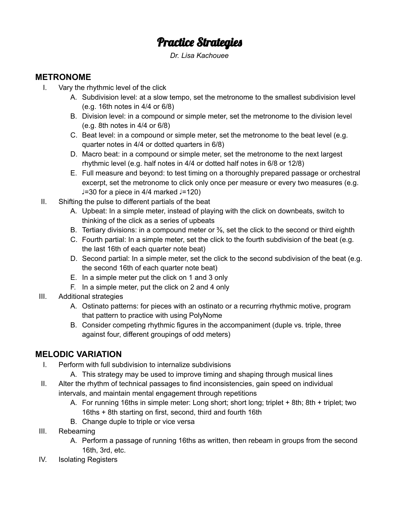# Practice Strategies

*Dr. Lisa Kachouee*

### **METRONOME**

- I. Vary the rhythmic level of the click
	- A. Subdivision level: at a slow tempo, set the metronome to the smallest subdivision level (e.g. 16th notes in 4/4 or 6/8)
	- B. Division level: in a compound or simple meter, set the metronome to the division level (e.g. 8th notes in 4/4 or 6/8)
	- C. Beat level: in a compound or simple meter, set the metronome to the beat level (e.g. quarter notes in 4/4 or dotted quarters in 6/8)
	- D. Macro beat: in a compound or simple meter, set the metronome to the next largest rhythmic level (e.g. half notes in 4/4 or dotted half notes in 6/8 or 12/8)
	- E. Full measure and beyond: to test timing on a thoroughly prepared passage or orchestral excerpt, set the metronome to click only once per measure or every two measures (e.g. ♩=30 for a piece in 4/4 marked ♩=120)
- II. Shifting the pulse to different partials of the beat
	- A. Upbeat: In a simple meter, instead of playing with the click on downbeats, switch to thinking of the click as a series of upbeats
	- B. Tertiary divisions: in a compound meter or <sup>3</sup>/<sub>8</sub>, set the click to the second or third eighth
	- C. Fourth partial: In a simple meter, set the click to the fourth subdivision of the beat (e.g. the last 16th of each quarter note beat)
	- D. Second partial: In a simple meter, set the click to the second subdivision of the beat (e.g. the second 16th of each quarter note beat)
	- E. In a simple meter put the click on 1 and 3 only
	- F. In a simple meter, put the click on 2 and 4 only
- III. Additional strategies
	- A. Ostinato patterns: for pieces with an ostinato or a recurring rhythmic motive, program that pattern to practice with using PolyNome
	- B. Consider competing rhythmic figures in the accompaniment (duple vs. triple, three against four, different groupings of odd meters)

# **MELODIC VARIATION**

- I. Perform with full subdivision to internalize subdivisions
	- A. This strategy may be used to improve timing and shaping through musical lines
- II. Alter the rhythm of technical passages to find inconsistencies, gain speed on individual intervals, and maintain mental engagement through repetitions
	- A. For running 16ths in simple meter: Long short; short long; triplet + 8th; 8th + triplet; two 16ths + 8th starting on first, second, third and fourth 16th
	- B. Change duple to triple or vice versa
- III. Rebeaming
	- A. Perform a passage of running 16ths as written, then rebeam in groups from the second 16th, 3rd, etc.
- IV. Isolating Registers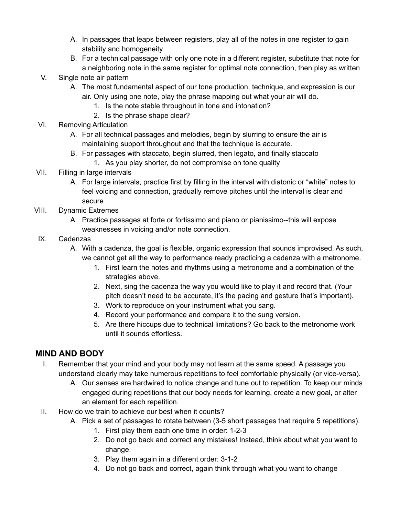- A. In passages that leaps between registers, play all of the notes in one register to gain stability and homogeneity
- B. For a technical passage with only one note in a different register, substitute that note for a neighboring note in the same register for optimal note connection, then play as written
- V. Single note air pattern
	- A. The most fundamental aspect of our tone production, technique, and expression is our air. Only using one note, play the phrase mapping out what your air will do.
		- 1. Is the note stable throughout in tone and intonation?
		- 2. Is the phrase shape clear?
- VI. Removing Articulation
	- A. For all technical passages and melodies, begin by slurring to ensure the air is maintaining support throughout and that the technique is accurate.
	- B. For passages with staccato, begin slurred, then legato, and finally staccato
		- 1. As you play shorter, do not compromise on tone quality
- VII. Filling in large intervals
	- A. For large intervals, practice first by filling in the interval with diatonic or "white" notes to feel voicing and connection, gradually remove pitches until the interval is clear and secure
- VIII. Dynamic Extremes
	- A. Practice passages at forte or fortissimo and piano or pianissimo--this will expose weaknesses in voicing and/or note connection.

#### IX. Cadenzas

- A. With a cadenza, the goal is flexible, organic expression that sounds improvised. As such, we cannot get all the way to performance ready practicing a cadenza with a metronome.
	- 1. First learn the notes and rhythms using a metronome and a combination of the strategies above.
	- 2. Next, sing the cadenza the way you would like to play it and record that. (Your pitch doesn't need to be accurate, it's the pacing and gesture that's important).
	- 3. Work to reproduce on your instrument what you sang.
	- 4. Record your performance and compare it to the sung version.
	- 5. Are there hiccups due to technical limitations? Go back to the metronome work until it sounds effortless.

## **MIND AND BODY**

- I. Remember that your mind and your body may not learn at the same speed. A passage you understand clearly may take numerous repetitions to feel comfortable physically (or vice-versa).
	- A. Our senses are hardwired to notice change and tune out to repetition. To keep our minds engaged during repetitions that our body needs for learning, create a new goal, or alter an element for each repetition.
- II. How do we train to achieve our best when it counts?
	- A. Pick a set of passages to rotate between (3-5 short passages that require 5 repetitions).
		- 1. First play them each one time in order: 1-2-3
		- 2. Do not go back and correct any mistakes! Instead, think about what you want to change.
		- 3. Play them again in a different order: 3-1-2
		- 4. Do not go back and correct, again think through what you want to change